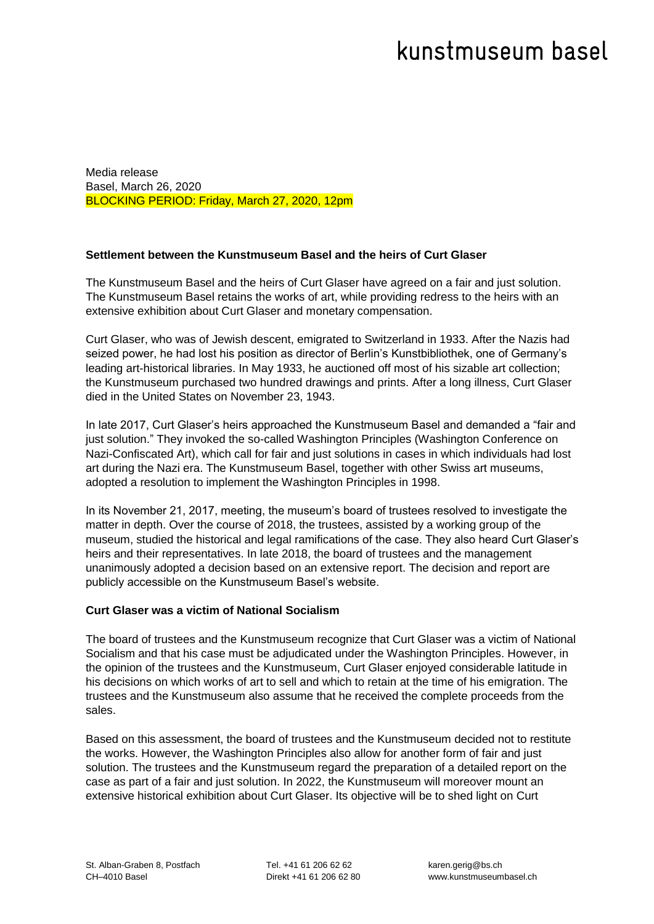# kunstmuseum basel

Media release Basel, March 26, 2020 BLOCKING PERIOD: Friday, March 27, 2020, 12pm

## **Settlement between the Kunstmuseum Basel and the heirs of Curt Glaser**

The Kunstmuseum Basel and the heirs of Curt Glaser have agreed on a fair and just solution. The Kunstmuseum Basel retains the works of art, while providing redress to the heirs with an extensive exhibition about Curt Glaser and monetary compensation.

Curt Glaser, who was of Jewish descent, emigrated to Switzerland in 1933. After the Nazis had seized power, he had lost his position as director of Berlin's Kunstbibliothek, one of Germany's leading art-historical libraries. In May 1933, he auctioned off most of his sizable art collection; the Kunstmuseum purchased two hundred drawings and prints. After a long illness, Curt Glaser died in the United States on November 23, 1943.

In late 2017, Curt Glaser's heirs approached the Kunstmuseum Basel and demanded a "fair and just solution." They invoked the so-called Washington Principles (Washington Conference on Nazi-Confiscated Art), which call for fair and just solutions in cases in which individuals had lost art during the Nazi era. The Kunstmuseum Basel, together with other Swiss art museums, adopted a resolution to implement the Washington Principles in 1998.

In its November 21, 2017, meeting, the museum's board of trustees resolved to investigate the matter in depth. Over the course of 2018, the trustees, assisted by a working group of the museum, studied the historical and legal ramifications of the case. They also heard Curt Glaser's heirs and their representatives. In late 2018, the board of trustees and the management unanimously adopted a decision based on an extensive report. The decision and report are publicly accessible on the Kunstmuseum Basel's website.

## **Curt Glaser was a victim of National Socialism**

The board of trustees and the Kunstmuseum recognize that Curt Glaser was a victim of National Socialism and that his case must be adjudicated under the Washington Principles. However, in the opinion of the trustees and the Kunstmuseum, Curt Glaser enjoyed considerable latitude in his decisions on which works of art to sell and which to retain at the time of his emigration. The trustees and the Kunstmuseum also assume that he received the complete proceeds from the sales.

Based on this assessment, the board of trustees and the Kunstmuseum decided not to restitute the works. However, the Washington Principles also allow for another form of fair and just solution. The trustees and the Kunstmuseum regard the preparation of a detailed report on the case as part of a fair and just solution. In 2022, the Kunstmuseum will moreover mount an extensive historical exhibition about Curt Glaser. Its objective will be to shed light on Curt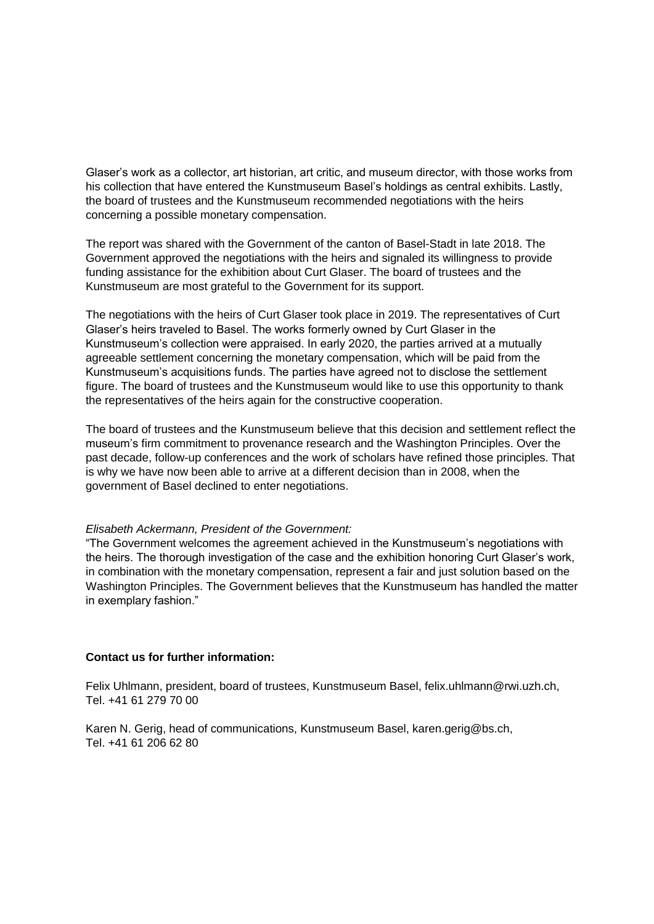Glaser's work as a collector, art historian, art critic, and museum director, with those works from his collection that have entered the Kunstmuseum Basel's holdings as central exhibits. Lastly, the board of trustees and the Kunstmuseum recommended negotiations with the heirs concerning a possible monetary compensation.

The report was shared with the Government of the canton of Basel-Stadt in late 2018. The Government approved the negotiations with the heirs and signaled its willingness to provide funding assistance for the exhibition about Curt Glaser. The board of trustees and the Kunstmuseum are most grateful to the Government for its support.

The negotiations with the heirs of Curt Glaser took place in 2019. The representatives of Curt Glaser's heirs traveled to Basel. The works formerly owned by Curt Glaser in the Kunstmuseum's collection were appraised. In early 2020, the parties arrived at a mutually agreeable settlement concerning the monetary compensation, which will be paid from the Kunstmuseum's acquisitions funds. The parties have agreed not to disclose the settlement figure. The board of trustees and the Kunstmuseum would like to use this opportunity to thank the representatives of the heirs again for the constructive cooperation.

The board of trustees and the Kunstmuseum believe that this decision and settlement reflect the museum's firm commitment to provenance research and the Washington Principles. Over the past decade, follow-up conferences and the work of scholars have refined those principles. That is why we have now been able to arrive at a different decision than in 2008, when the government of Basel declined to enter negotiations.

## *Elisabeth Ackermann, President of the Government:*

"The Government welcomes the agreement achieved in the Kunstmuseum's negotiations with the heirs. The thorough investigation of the case and the exhibition honoring Curt Glaser's work, in combination with the monetary compensation, represent a fair and just solution based on the Washington Principles. The Government believes that the Kunstmuseum has handled the matter in exemplary fashion."

## **Contact us for further information:**

Felix Uhlmann, president, board of trustees, Kunstmuseum Basel, felix.uhlmann@rwi.uzh.ch, Tel. +41 61 279 70 00

Karen N. Gerig, head of communications, Kunstmuseum Basel, karen.gerig@bs.ch, Tel. +41 61 206 62 80